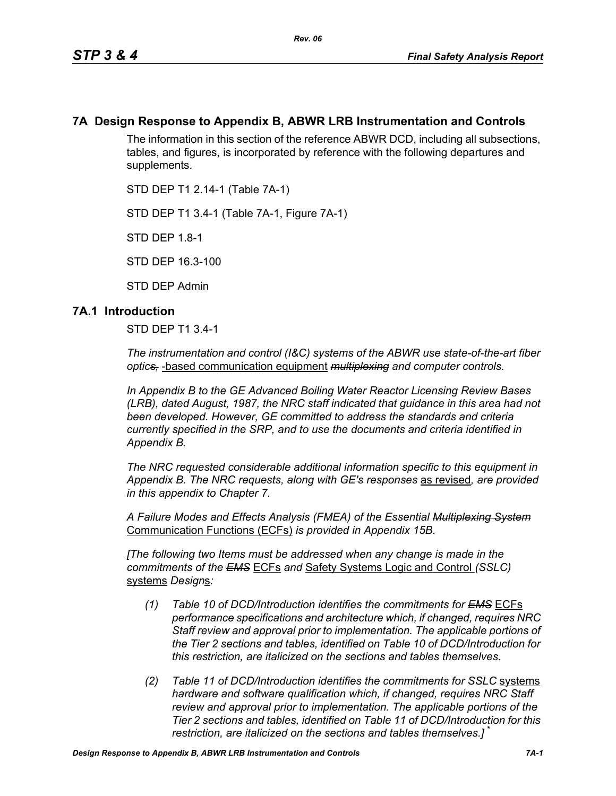## **7A Design Response to Appendix B, ABWR LRB Instrumentation and Controls**

The information in this section of the reference ABWR DCD, including all subsections, tables, and figures, is incorporated by reference with the following departures and supplements.

STD DEP T1 2.14-1 (Table 7A-1)

STD DEP T1 3.4-1 (Table 7A-1, Figure 7A-1)

STD DEP 1.8-1

STD DEP 16.3-100

STD DEP Admin

## **7A.1 Introduction**

STD DEP T1 3.4-1

*The instrumentation and control (I&C) systems of the ABWR use state-of-the-art fiber optics,* -based communication equipment *multiplexing and computer controls.* 

*In Appendix B to the GE Advanced Boiling Water Reactor Licensing Review Bases (LRB), dated August, 1987, the NRC staff indicated that guidance in this area had not been developed. However, GE committed to address the standards and criteria currently specified in the SRP, and to use the documents and criteria identified in Appendix B.*

*The NRC requested considerable additional information specific to this equipment in Appendix B. The NRC requests, along with GE's responses* as revised*, are provided in this appendix to Chapter 7.*

*A Failure Modes and Effects Analysis (FMEA) of the Essential Multiplexing System* Communication Functions (ECFs) *is provided in Appendix 15B.*

*[The following two Items must be addressed when any change is made in the commitments of the EMS* ECFs *and* Safety Systems Logic and Control *(SSLC)* systems *Design*s*:*

- *(1) Table 10 of DCD/Introduction identifies the commitments for EMS* ECFs *performance specifications and architecture which, if changed, requires NRC Staff review and approval prior to implementation. The applicable portions of the Tier 2 sections and tables, identified on Table 10 of DCD/Introduction for this restriction, are italicized on the sections and tables themselves.*
- *(2) Table 11 of DCD/Introduction identifies the commitments for SSLC* systems *hardware and software qualification which, if changed, requires NRC Staff review and approval prior to implementation. The applicable portions of the Tier 2 sections and tables, identified on Table 11 of DCD/Introduction for this restriction, are italicized on the sections and tables themselves.]* \*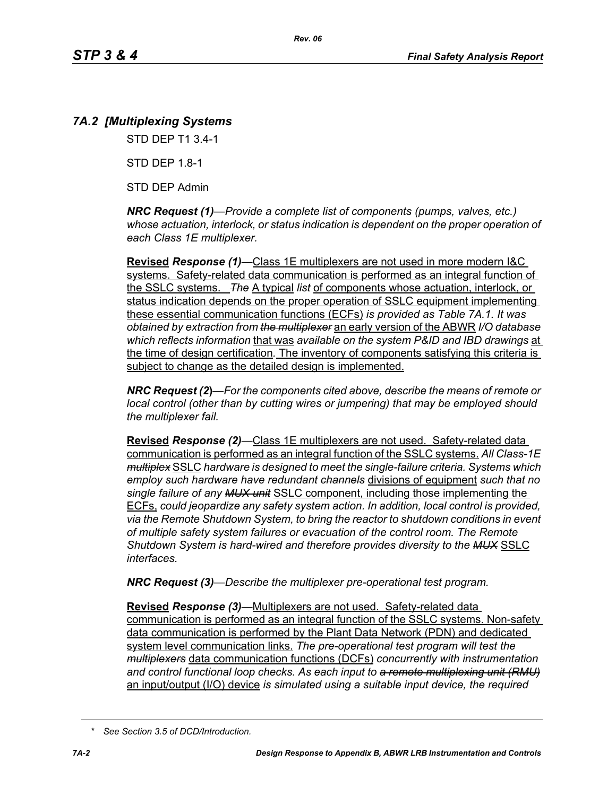# *7A.2 [Multiplexing Systems*

STD DEP T1 3.4-1

STD DEP 1.8-1

STD DEP Admin

*NRC Request (1)—Provide a complete list of components (pumps, valves, etc.) whose actuation, interlock, or status indication is dependent on the proper operation of each Class 1E multiplexer.*

**Revised** *Response (1)—*Class 1E multiplexers are not used in more modern I&C systems. Safety-related data communication is performed as an integral function of the SSLC systems. *The* A typical *list* of components whose actuation, interlock, or status indication depends on the proper operation of SSLC equipment implementing these essential communication functions (ECFs) *is provided as Table 7A.1. It was obtained by extraction from the multiplexer* an early version of the ABWR *I/O database which reflects information* that was *available on the system P&ID and IBD drawings* at the time of design certification*.* The inventory of components satisfying this criteria is subject to change as the detailed design is implemented.

*NRC Request (2***)***—For the components cited above, describe the means of remote or local control (other than by cutting wires or jumpering) that may be employed should the multiplexer fail.*

**Revised** *Response (2)—*Class 1E multiplexers are not used. Safety-related data communication is performed as an integral function of the SSLC systems. *All Class-1E multiplex* SSLC *hardware is designed to meet the single-failure criteria. Systems which employ such hardware have redundant channels* divisions of equipment *such that no single failure of any MUX unit* SSLC component, including those implementing the ECFs, *could jeopardize any safety system action. In addition, local control is provided, via the Remote Shutdown System, to bring the reactor to shutdown conditions in event of multiple safety system failures or evacuation of the control room. The Remote Shutdown System is hard-wired and therefore provides diversity to the MUX* SSLC *interfaces.*

*NRC Request (3)—Describe the multiplexer pre-operational test program.*

**Revised** *Response (3)—*Multiplexers are not used. Safety-related data communication is performed as an integral function of the SSLC systems. Non-safety data communication is performed by the Plant Data Network (PDN) and dedicated system level communication links. *The pre-operational test program will test the multiplexers* data communication functions (DCFs) *concurrently with instrumentation and control functional loop checks. As each input to a remote multiplexing unit (RMU)* an input/output (I/O) device *is simulated using a suitable input device, the required* 

*<sup>\*</sup> See Section 3.5 of DCD/Introduction.*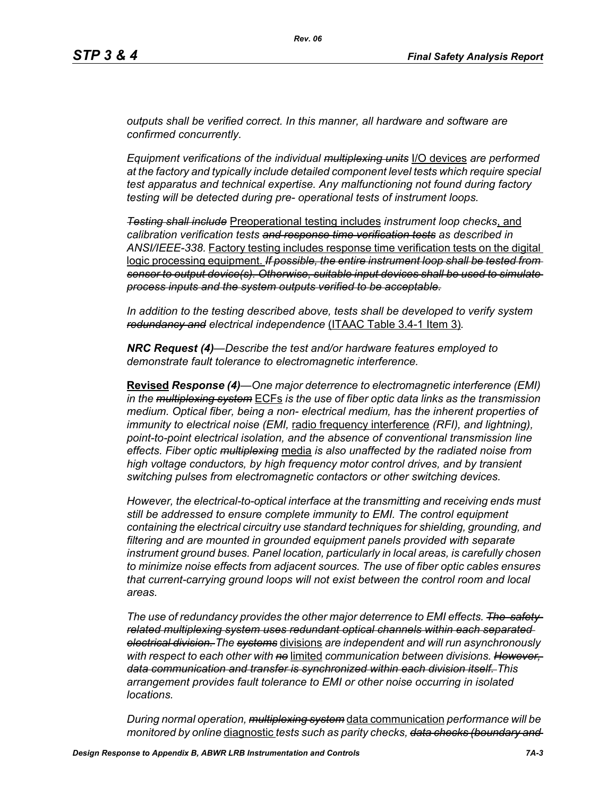*outputs shall be verified correct. In this manner, all hardware and software are confirmed concurrently.*

*Equipment verifications of the individual multiplexing units* I/O devices *are performed at the factory and typically include detailed component level tests which require special test apparatus and technical expertise. Any malfunctioning not found during factory testing will be detected during pre- operational tests of instrument loops.*

*Testing shall include* Preoperational testing includes *instrument loop checks*, and *calibration verification tests and response time verification tests as described in ANSI/IEEE-338.* Factory testing includes response time verification tests on the digital logic processing equipment. *If possible, the entire instrument loop shall be tested from sensor to output device(s). Otherwise, suitable input devices shall be used to simulate process inputs and the system outputs verified to be acceptable.*

*In addition to the testing described above, tests shall be developed to verify system redundancy and electrical independence* (ITAAC Table 3.4-1 Item 3)*.*

*NRC Request (4)—Describe the test and/or hardware features employed to demonstrate fault tolerance to electromagnetic interference.*

**Revised** *Response (4)—One major deterrence to electromagnetic interference (EMI) in the multiplexing system* ECFs *is the use of fiber optic data links as the transmission medium. Optical fiber, being a non- electrical medium, has the inherent properties of immunity to electrical noise (EMI,* radio frequency interference *(RFI), and lightning), point-to-point electrical isolation, and the absence of conventional transmission line effects. Fiber optic multiplexing* media *is also unaffected by the radiated noise from high voltage conductors, by high frequency motor control drives, and by transient switching pulses from electromagnetic contactors or other switching devices.* 

*However, the electrical-to-optical interface at the transmitting and receiving ends must still be addressed to ensure complete immunity to EMI. The control equipment containing the electrical circuitry use standard techniques for shielding, grounding, and filtering and are mounted in grounded equipment panels provided with separate instrument ground buses. Panel location, particularly in local areas, is carefully chosen to minimize noise effects from adjacent sources. The use of fiber optic cables ensures that current-carrying ground loops will not exist between the control room and local areas.* 

*The use of redundancy provides the other major deterrence to EMI effects. The safetyrelated multiplexing system uses redundant optical channels within each separated electrical division. The systems* divisions *are independent and will run asynchronously with respect to each other with no* limited *communication between divisions. However, data communication and transfer is synchronized within each division itself. This arrangement provides fault tolerance to EMI or other noise occurring in isolated locations.* 

*During normal operation, multiplexing system* data communication *performance will be monitored by online* diagnostic *tests such as parity checks, data checks (boundary and*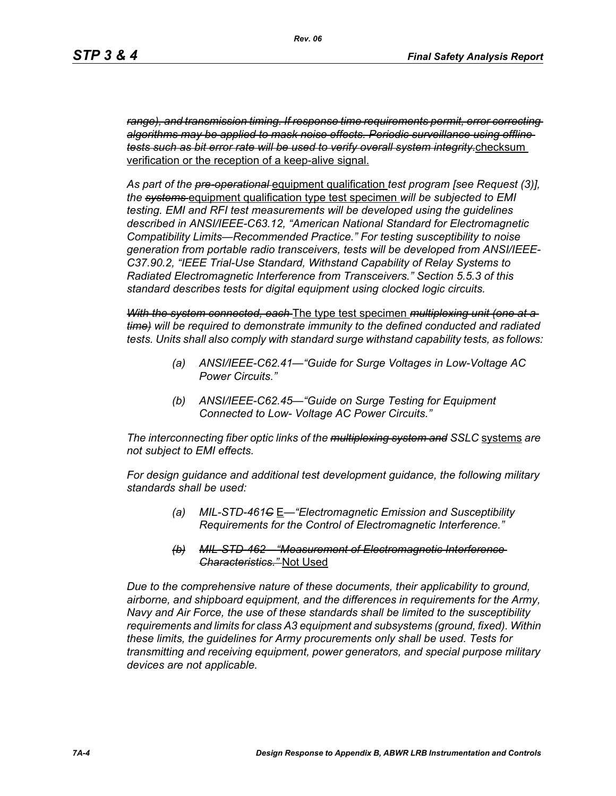*range), and transmission timing. If response time requirements permit, error correcting algorithms may be applied to mask noise effects. Periodic surveillance using offline tests such as bit error rate will be used to verify overall system integrity.*checksum verification or the reception of a keep-alive signal.

*As part of the pre-operational* equipment qualification *test program [see Request (3)], the systems* equipment qualification type test specimen *will be subjected to EMI testing. EMI and RFI test measurements will be developed using the guidelines described in ANSI/IEEE-C63.12, "American National Standard for Electromagnetic Compatibility Limits—Recommended Practice." For testing susceptibility to noise generation from portable radio transceivers, tests will be developed from ANSI/IEEE-C37.90.2, "IEEE Trial-Use Standard, Withstand Capability of Relay Systems to Radiated Electromagnetic Interference from Transceivers." Section 5.5.3 of this standard describes tests for digital equipment using clocked logic circuits.*

*With the system connected, each* The type test specimen *multiplexing unit (one at a time) will be required to demonstrate immunity to the defined conducted and radiated tests. Units shall also comply with standard surge withstand capability tests, as follows:*

- *(a) ANSI/IEEE-C62.41—"Guide for Surge Voltages in Low-Voltage AC Power Circuits."*
- *(b) ANSI/IEEE-C62.45—"Guide on Surge Testing for Equipment Connected to Low- Voltage AC Power Circuits."*

*The interconnecting fiber optic links of the multiplexing system and SSLC* systems *are not subject to EMI effects.*

*For design guidance and additional test development guidance, the following military standards shall be used:*

- *(a) MIL-STD-461C* E*—"Electromagnetic Emission and Susceptibility Requirements for the Control of Electromagnetic Interference."*
- *(b) MIL-STD-462—"Measurement of Electromagnetic Interference Characteristics."* Not Used

*Due to the comprehensive nature of these documents, their applicability to ground, airborne, and shipboard equipment, and the differences in requirements for the Army, Navy and Air Force, the use of these standards shall be limited to the susceptibility requirements and limits for class A3 equipment and subsystems (ground, fixed). Within these limits, the guidelines for Army procurements only shall be used. Tests for transmitting and receiving equipment, power generators, and special purpose military devices are not applicable.*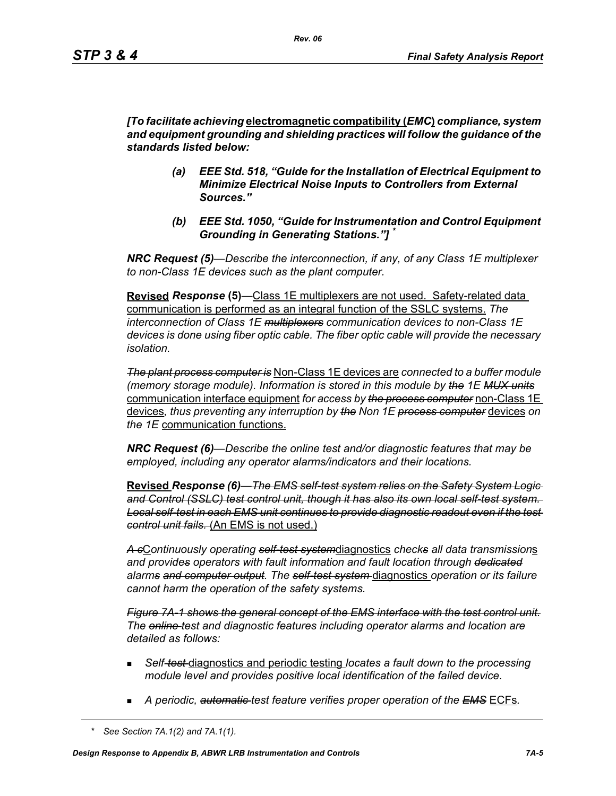*[To facilitate achieving* **electromagnetic compatibility (***EMC***)** *compliance, system and equipment grounding and shielding practices will follow the guidance of the standards listed below:*

- *(a) EEE Std. 518, "Guide for the Installation of Electrical Equipment to Minimize Electrical Noise Inputs to Controllers from External Sources."*
- *(b) EEE Std. 1050, "Guide for Instrumentation and Control Equipment Grounding in Generating Stations."] \**

*NRC Request (5)*—*Describe the interconnection, if any, of any Class 1E multiplexer to non-Class 1E devices such as the plant computer.* 

**Revised** *Response* **(5)***—*Class 1E multiplexers are not used. Safety-related data communication is performed as an integral function of the SSLC systems. *The interconnection of Class 1E multiplexers communication devices to non-Class 1E devices is done using fiber optic cable. The fiber optic cable will provide the necessary isolation.* 

*The plant process computer is* Non-Class 1E devices are *connected to a buffer module (memory storage module). Information is stored in this module by the 1E MUX units* communication interface equipment *for access by the process computer* non-Class 1E devices*, thus preventing any interruption by the Non 1E process computer* devices *on the 1E* communication functions.

*NRC Request (6)—Describe the online test and/or diagnostic features that may be employed, including any operator alarms/indicators and their locations.* 

**Revised** *Response (6)—The EMS self-test system relies on the Safety System Logic and Control (SSLC) test control unit, though it has also its own local self-test system. Local self-test in each EMS unit continues to provide diagnostic readout even if the test control unit fails.* (An EMS is not used.)

*A c*C*ontinuously operating self-test system*diagnostics *checks all data transmission*s *and provides operators with fault information and fault location through dedicated alarms and computer output. The self-test system* diagnostics *operation or its failure cannot harm the operation of the safety systems.*

*Figure 7A-1 shows the general concept of the EMS interface with the test control unit. The online test and diagnostic features including operator alarms and location are detailed as follows:*

- *Self-test* diagnostics and periodic testing *locates a fault down to the processing module level and provides positive local identification of the failed device.*
- *A periodic, automatic test feature verifies proper operation of the EMS* ECFs*.*

*<sup>\*</sup> See Section 7A.1(2) and 7A.1(1).*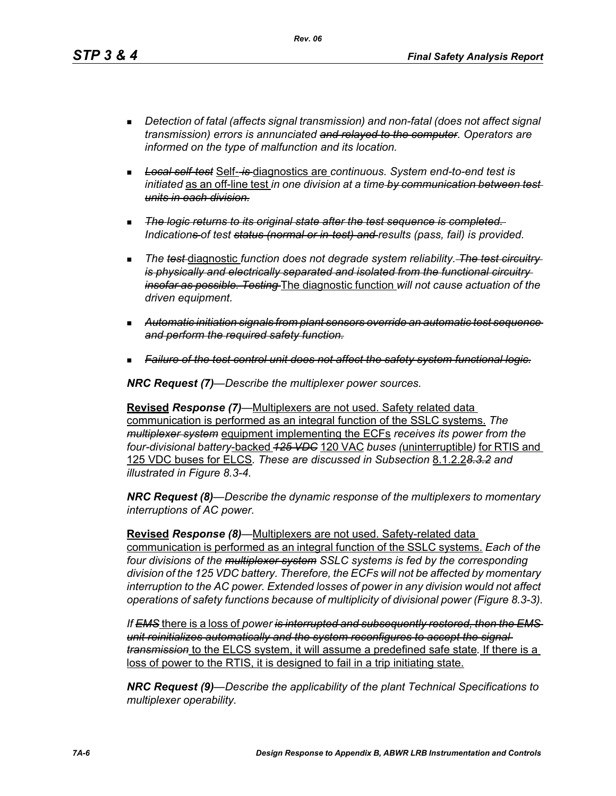*Rev. 06*

- *Detection of fatal (affects signal transmission) and non-fatal (does not affect signal transmission) errors is annunciated and relayed to the computer. Operators are informed on the type of malfunction and its location.*
- *Local self-test* Self- *is* diagnostics are *continuous. System end-to-end test is initiated* as an off-line test *in one division at a time by communication between test units in each division.*
- *The logic returns to its original state after the test sequence is completed. Indications of test status (normal or in-test) and results (pass, fail) is provided.*
- **The test diagnostic function does not degrade system reliability.** The test circuitry*is physically and electrically separated and isolated from the functional circuitry insofar as possible. Testing* The diagnostic function *will not cause actuation of the driven equipment.*
- *Automatic initiation signals from plant sensors override an automatic test sequence and perform the required safety function.*
- *Failure of the test control unit does not affect the safety system functional logic.*

*NRC Request (7)—Describe the multiplexer power sources.*

**Revised** *Response (7)—*Multiplexers are not used. Safety related data communication is performed as an integral function of the SSLC systems. *The multiplexer system* equipment implementing the ECFs *receives its power from the four-divisional battery*-backed *125 VDC* 120 VAC *buses (*uninterruptible*)* for RTIS and 125 VDC buses for ELCS*. These are discussed in Subsection* 8.1.2.2*8.3.2 and illustrated in Figure 8.3-4.*

*NRC Request (8)—Describe the dynamic response of the multiplexers to momentary interruptions of AC power.*

**Revised** *Response (8)—*Multiplexers are not used. Safety-related data communication is performed as an integral function of the SSLC systems. *Each of the four divisions of the multiplexer system SSLC systems is fed by the corresponding division of the 125 VDC battery. Therefore, the ECFs will not be affected by momentary interruption to the AC power. Extended losses of power in any division would not affect operations of safety functions because of multiplicity of divisional power (Figure 8.3-3).*

*If EMS* there is a loss of *power is interrupted and subsequently restored, then the EMS unit reinitializes automatically and the system reconfigures to accept the signal transmission* to the ELCS system, it will assume a predefined safe state*.* If there is a loss of power to the RTIS, it is designed to fail in a trip initiating state.

*NRC Request (9)—Describe the applicability of the plant Technical Specifications to multiplexer operability.*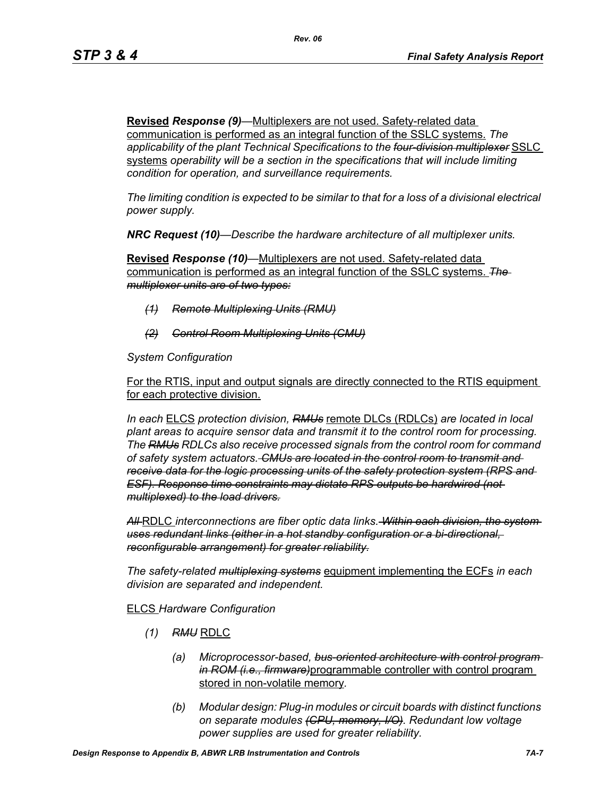**Revised** *Response (9)—*Multiplexers are not used. Safety-related data communication is performed as an integral function of the SSLC systems. *The applicability of the plant Technical Specifications to the four-division multiplexer* SSLC systems *operability will be a section in the specifications that will include limiting condition for operation, and surveillance requirements.*

*The limiting condition is expected to be similar to that for a loss of a divisional electrical power supply.*

*NRC Request (10)—Describe the hardware architecture of all multiplexer units.* 

**Revised** *Response (10)—*Multiplexers are not used. Safety-related data communication is performed as an integral function of the SSLC systems. *The multiplexer units are of two types:*

- *(1) Remote Multiplexing Units (RMU)*
- *(2) Control Room Multiplexing Units (CMU)*

*System Configuration*

For the RTIS, input and output signals are directly connected to the RTIS equipment for each protective division.

*In each* ELCS *protection division, RMUs* remote DLCs (RDLCs) *are located in local plant areas to acquire sensor data and transmit it to the control room for processing. The RMUs RDLCs also receive processed signals from the control room for command of safety system actuators. CMUs are located in the control room to transmit and receive data for the logic processing units of the safety protection system (RPS and ESF). Response time constraints may dictate RPS outputs be hardwired (not multiplexed) to the load drivers.*

*All* RDLC *interconnections are fiber optic data links. Within each division, the system uses redundant links (either in a hot standby configuration or a bi-directional, reconfigurable arrangement) for greater reliability.*

*The safety-related multiplexing systems* equipment implementing the ECFs *in each division are separated and independent.*

## ELCS *Hardware Configuration*

- *(1) RMU* RDLC
	- *(a) Microprocessor-based, bus-oriented architecture with control program in ROM (i.e., firmware)*programmable controller with control program stored in non-volatile memory*.*
	- *(b) Modular design: Plug-in modules or circuit boards with distinct functions on separate modules (CPU, memory, I/O). Redundant low voltage power supplies are used for greater reliability.*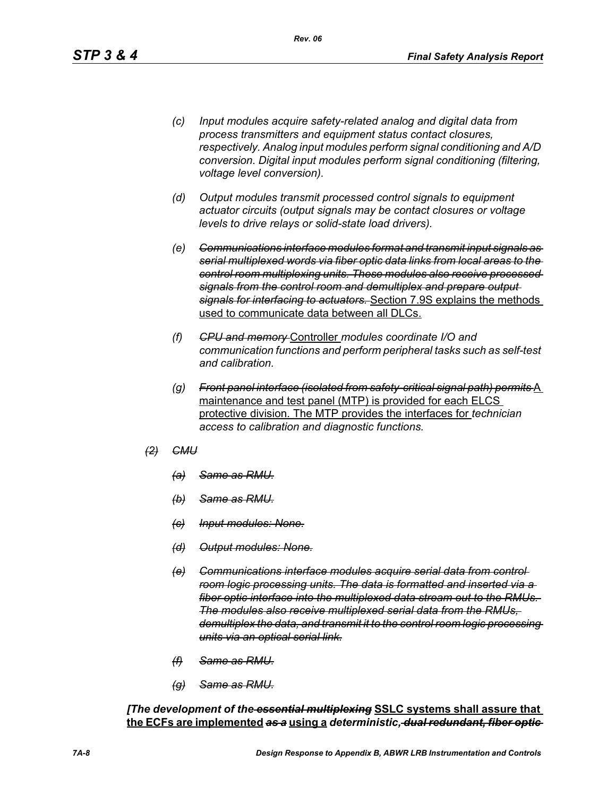- *(c) Input modules acquire safety-related analog and digital data from process transmitters and equipment status contact closures, respectively. Analog input modules perform signal conditioning and A/D conversion. Digital input modules perform signal conditioning (filtering, voltage level conversion).*
- *(d) Output modules transmit processed control signals to equipment actuator circuits (output signals may be contact closures or voltage levels to drive relays or solid-state load drivers).*
- *(e) Communications interface modules format and transmit input signals as serial multiplexed words via fiber optic data links from local areas to the control room multiplexing units. These modules also receive processed signals from the control room and demultiplex and prepare output signals for interfacing to actuators.* Section 7.9S explains the methods used to communicate data between all DLCs.
- *(f) CPU and memory* Controller *modules coordinate I/O and communication functions and perform peripheral tasks such as self-test and calibration.*
- *(g) Front panel interface (isolated from safety-critical signal path) permits* A maintenance and test panel (MTP) is provided for each ELCS protective division. The MTP provides the interfaces for *technician access to calibration and diagnostic functions.*
- *(2) CMU*
	- *(a) Same as RMU.*
	- *(b) Same as RMU.*
	- *(c) Input modules: None.*
	- *(d) Output modules: None.*
	- *(e) Communications interface modules acquire serial data from control room logic processing units. The data is formatted and inserted via a fiber optic interface into the multiplexed data stream out to the RMUs. The modules also receive multiplexed serial data from the RMUs, demultiplex the data, and transmit it to the control room logic processing units via an optical serial link.*
	- *(f) Same as RMU.*
	- *(g) Same as RMU.*

*[The development of the essential multiplexing* **SSLC systems shall assure that the ECFs are implemented** *as a* **using a** *deterministic, dual redundant, fiber optic*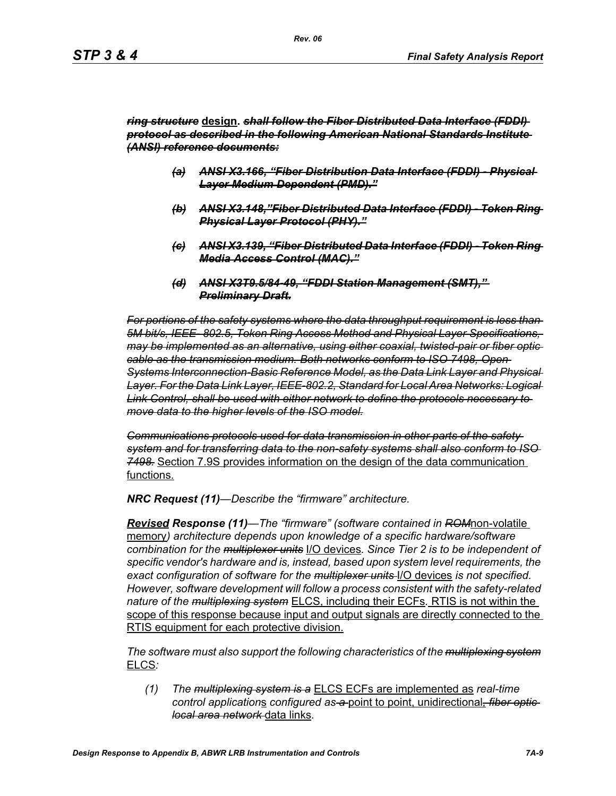### *ring structure* **design.** *shall follow the Fiber Distributed Data Interface (FDDI) protocol as described in the following American National Standards Institute (ANSI) reference documents:*

- *(a) ANSI X3.166, "Fiber Distribution Data Interface (FDDI) Physical Layer Medium Dependent (PMD)."*
- *(b) ANSI X3.148,"Fiber Distributed Data Interface (FDDI) Token Ring Physical Layer Protocol (PHY)."*
- *(c) ANSI X3.139, "Fiber Distributed Data Interface (FDDI) Token Ring Media Access Control (MAC)."*
- *(d) ANSI X3T9.5/84-49, "FDDI Station Management (SMT)," Preliminary Draft.*

*For portions of the safety systems where the data throughput requirement is less than 5M bit/s, IEEE- 802.5, Token Ring Access Method and Physical Layer Specifications, may be implemented as an alternative, using either coaxial, twisted-pair or fiber optic cable as the transmission medium. Both networks conform to ISO 7498, Open Systems Interconnection-Basic Reference Model, as the Data Link Layer and Physical Layer. For the Data Link Layer, IEEE-802.2, Standard for Local Area Networks: Logical Link Control, shall be used with either network to define the protocols necessary to move data to the higher levels of the ISO model.*

*Communications protocols used for data transmission in other parts of the safety system and for transferring data to the non-safety systems shall also conform to ISO 7498.* Section 7.9S provides information on the design of the data communication functions.

*NRC Request (11)—Describe the "firmware" architecture.*

*Revised Response (11)—The "firmware" (software contained in ROM*non-volatile memory*) architecture depends upon knowledge of a specific hardware/software combination for the multiplexer units* I/O devices*. Since Tier 2 is to be independent of specific vendor's hardware and is, instead, based upon system level requirements, the exact configuration of software for the multiplexer units* I/O devices *is not specified. However, software development will follow a process consistent with the safety-related nature of the multiplexing system* ELCS, including their ECFs*.* RTIS is not within the scope of this response because input and output signals are directly connected to the RTIS equipment for each protective division.

*The software must also support the following characteristics of the multiplexing system* ELCS*:*

*(1) The multiplexing system is a* ELCS ECFs are implemented as *real-time control application*s *configured as a* point to point, unidirectional*, fiber optic local area network* data links*.*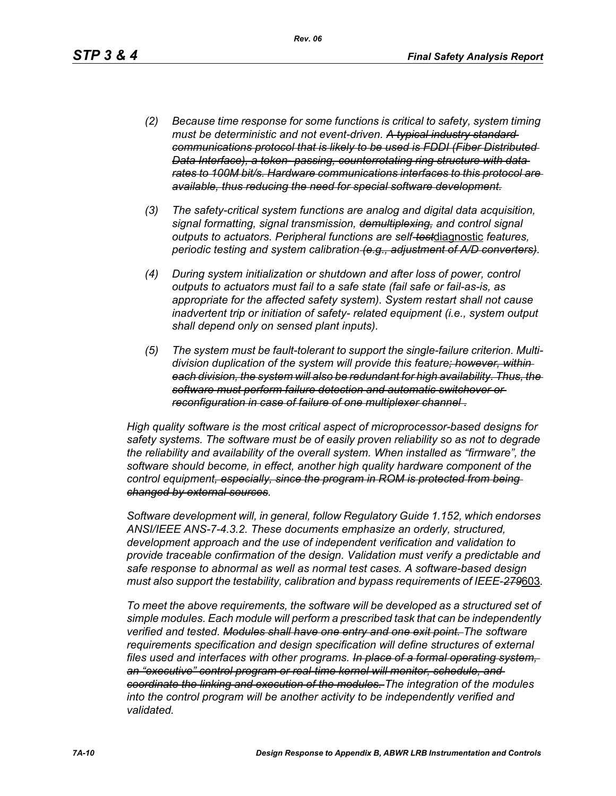- *(2) Because time response for some functions is critical to safety, system timing must be deterministic and not event-driven. A typical industry standard communications protocol that is likely to be used is FDDI (Fiber Distributed Data Interface), a token- passing, counterrotating ring structure with data rates to 100M bit/s. Hardware communications interfaces to this protocol are available, thus reducing the need for special software development.*
- *(3) The safety-critical system functions are analog and digital data acquisition, signal formatting, signal transmission, demultiplexing, and control signal outputs to actuators. Peripheral functions are self-test*diagnostic *features, periodic testing and system calibration (e.g., adjustment of A/D converters).*
- *(4) During system initialization or shutdown and after loss of power, control outputs to actuators must fail to a safe state (fail safe or fail-as-is, as appropriate for the affected safety system). System restart shall not cause inadvertent trip or initiation of safety- related equipment (i.e., system output shall depend only on sensed plant inputs).*
- *(5) The system must be fault-tolerant to support the single-failure criterion. Multidivision duplication of the system will provide this feature; however, within each division, the system will also be redundant for high availability. Thus, the software must perform failure detection and automatic switchover or reconfiguration in case of failure of one multiplexer channel .*

*High quality software is the most critical aspect of microprocessor-based designs for safety systems. The software must be of easily proven reliability so as not to degrade the reliability and availability of the overall system. When installed as "firmware", the software should become, in effect, another high quality hardware component of the control equipment, especially, since the program in ROM is protected from being changed by external sources.*

*Software development will, in general, follow Regulatory Guide 1.152, which endorses ANSI/IEEE ANS-7-4.3.2. These documents emphasize an orderly, structured, development approach and the use of independent verification and validation to provide traceable confirmation of the design. Validation must verify a predictable and safe response to abnormal as well as normal test cases. A software-based design must also support the testability, calibration and bypass requirements of IEEE-279*603*.*

*To meet the above requirements, the software will be developed as a structured set of simple modules. Each module will perform a prescribed task that can be independently verified and tested. Modules shall have one entry and one exit point. The software requirements specification and design specification will define structures of external files used and interfaces with other programs. In place of a formal operating system, an "executive" control program or real-time kernel will monitor, schedule, and coordinate the linking and execution of the modules. The integration of the modules*  into the control program will be another activity to be independently verified and *validated.*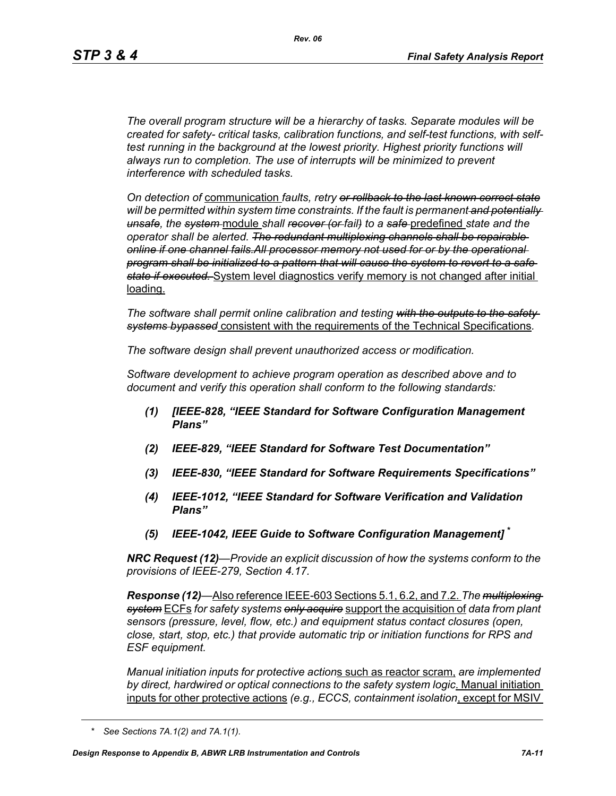*The overall program structure will be a hierarchy of tasks. Separate modules will be created for safety- critical tasks, calibration functions, and self-test functions, with selftest running in the background at the lowest priority. Highest priority functions will always run to completion. The use of interrupts will be minimized to prevent interference with scheduled tasks.* 

*On detection of* communication *faults, retry or rollback to the last known correct state will be permitted within system time constraints. If the fault is permanent and potentially unsafe, the system* module *shall recover (or fail) to a safe* predefined *state and the operator shall be alerted. The redundant multiplexing channels shall be repairable online if one channel fails.All processor memory not used for or by the operational program shall be initialized to a pattern that will cause the system to revert to a safe state if executed.* System level diagnostics verify memory is not changed after initial loading.

*The software shall permit online calibration and testing with the outputs to the safety systems bypassed* consistent with the requirements of the Technical Specifications*.* 

*The software design shall prevent unauthorized access or modification.* 

*Software development to achieve program operation as described above and to document and verify this operation shall conform to the following standards:*

- *(1) [IEEE-828, "IEEE Standard for Software Configuration Management Plans"*
- *(2) IEEE-829, "IEEE Standard for Software Test Documentation"*
- *(3) IEEE-830, "IEEE Standard for Software Requirements Specifications"*
- *(4) IEEE-1012, "IEEE Standard for Software Verification and Validation Plans"*
- *(5) IEEE-1042, IEEE Guide to Software Configuration Management]* **\***

*NRC Request (12)—Provide an explicit discussion of how the systems conform to the provisions of IEEE-279, Section 4.17.* 

*Response (12)—*Also reference IEEE-603 Sections 5.1, 6.2, and 7.2. *The multiplexing system* ECFs *for safety systems only acquire* support the acquisition of *data from plant sensors (pressure, level, flow, etc.) and equipment status contact closures (open, close, start, stop, etc.) that provide automatic trip or initiation functions for RPS and ESF equipment.* 

*Manual initiation inputs for protective action*s such as reactor scram, *are implemented by direct, hardwired or optical connections to the safety system logic*. Manual initiation inputs for other protective actions *(e.g., ECCS, containment isolation*, except for MSIV

*<sup>\*</sup> See Sections 7A.1(2) and 7A.1(1).*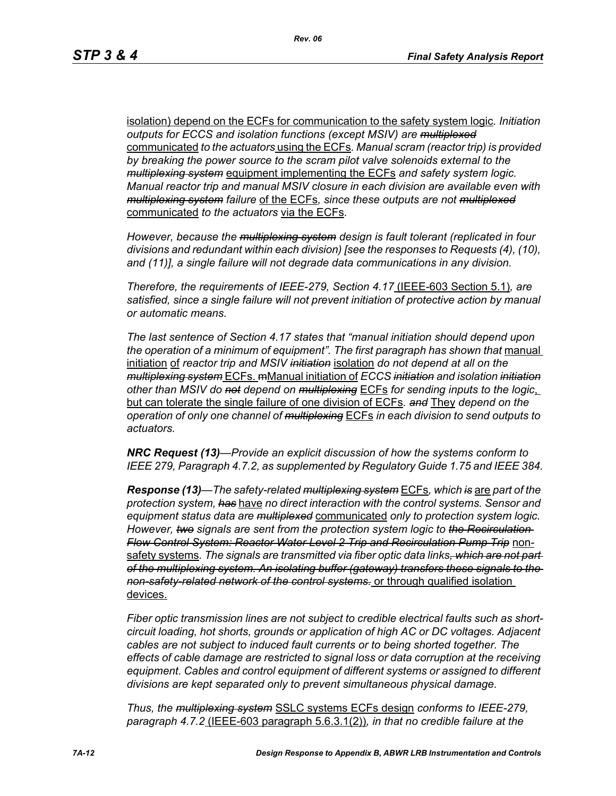isolation) depend on the ECFs for communication to the safety system logic*. Initiation outputs for ECCS and isolation functions (except MSIV) are multiplexed* communicated *to the actuators* using the ECFs*. Manual scram (reactor trip) is provided by breaking the power source to the scram pilot valve solenoids external to the multiplexing system* equipment implementing the ECFs *and safety system logic. Manual reactor trip and manual MSIV closure in each division are available even with multiplexing system failure* of the ECFs*, since these outputs are not multiplexed* communicated *to the actuators* via the ECFs*.* 

*However, because the multiplexing system design is fault tolerant (replicated in four divisions and redundant within each division) [see the responses to Requests (4), (10), and (11)], a single failure will not degrade data communications in any division.* 

*Therefore, the requirements of IEEE-279, Section 4.17* (IEEE-603 Section 5.1)*, are satisfied, since a single failure will not prevent initiation of protective action by manual or automatic means.* 

*The last sentence of Section 4.17 states that "manual initiation should depend upon*  the operation of a minimum of equipment". The first paragraph has shown that manual initiation of *reactor trip and MSIV initiation* isolation *do not depend at all on the multiplexing system* ECFs. mManual initiation of *ECCS initiation and isolation initiation other than MSIV do not depend on multiplexing* ECFs *for sending inputs to the logic*, but can tolerate the single failure of one division of ECFs*. and* They *depend on the operation of only one channel of multiplexing* ECFs *in each division to send outputs to actuators.* 

*NRC Request (13)—Provide an explicit discussion of how the systems conform to IEEE 279, Paragraph 4.7.2, as supplemented by Regulatory Guide 1.75 and IEEE 384.*

*Response (13)—The safety-related multiplexing system* ECFs*, which is* are *part of the protection system, has* have *no direct interaction with the control systems. Sensor and equipment status data are multiplexed* communicated *only to protection system logic. However, two signals are sent from the protection system logic to the Recirculation Flow Control System: Reactor Water Level 2 Trip and Recirculation Pump Trip* nonsafety systems*. The signals are transmitted via fiber optic data links, which are not part of the multiplexing system. An isolating buffer (gateway) transfers these signals to the non-safety-related network of the control systems.* or through qualified isolation devices.

*Fiber optic transmission lines are not subject to credible electrical faults such as shortcircuit loading, hot shorts, grounds or application of high AC or DC voltages. Adjacent cables are not subject to induced fault currents or to being shorted together. The effects of cable damage are restricted to signal loss or data corruption at the receiving equipment. Cables and control equipment of different systems or assigned to different divisions are kept separated only to prevent simultaneous physical damage.* 

*Thus, the multiplexing system* SSLC systems ECFs design *conforms to IEEE-279, paragraph 4.7.2* (IEEE-603 paragraph 5.6.3.1(2))*, in that no credible failure at the*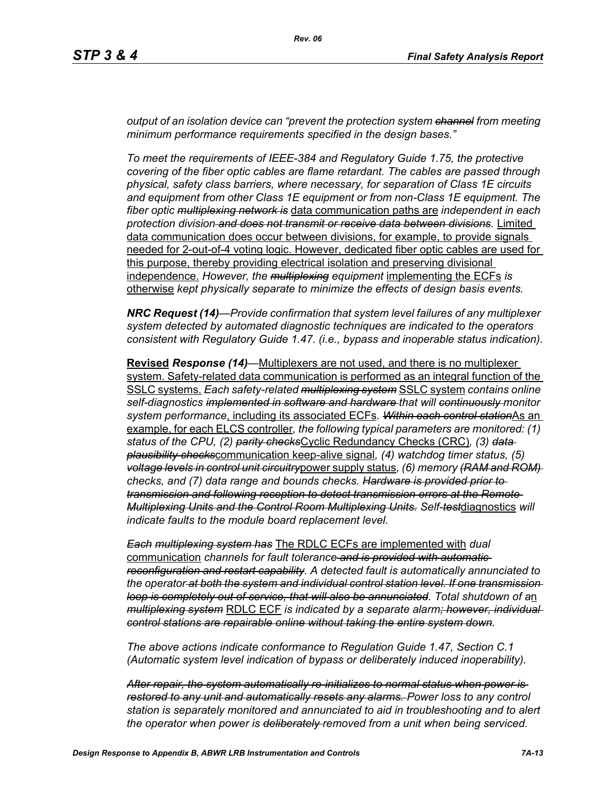*output of an isolation device can "prevent the protection system channel from meeting minimum performance requirements specified in the design bases."*

*To meet the requirements of IEEE-384 and Regulatory Guide 1.75, the protective covering of the fiber optic cables are flame retardant. The cables are passed through physical, safety class barriers, where necessary, for separation of Class 1E circuits and equipment from other Class 1E equipment or from non-Class 1E equipment. The fiber optic multiplexing network is* data communication paths are *independent in each protection division and does not transmit or receive data between divisions.* Limited data communication does occur between divisions, for example, to provide signals needed for 2-out-of-4 voting logic. However, dedicated fiber optic cables are used for this purpose, thereby providing electrical isolation and preserving divisional independence. *However, the multiplexing equipment* implementing the ECFs *is*  otherwise *kept physically separate to minimize the effects of design basis events.* 

*NRC Request (14)—Provide confirmation that system level failures of any multiplexer system detected by automated diagnostic techniques are indicated to the operators consistent with Regulatory Guide 1.47. (i.e., bypass and inoperable status indication).*

**Revised** *Response (14)—*Multiplexers are not used, and there is no multiplexer system. Safety-related data communication is performed as an integral function of the SSLC systems. *Each safety-related multiplexing system* SSLC system *contains online self-diagnostics implemented in software and hardware that will continuously monitor system performance*, including its associated ECFs*. Within each control station*As an example, for each ELCS controller*, the following typical parameters are monitored: (1) status of the CPU, (2) parity checks*Cyclic Redundancy Checks (CRC)*, (3) data plausibility checks*communication keep-alive signal*, (4) watchdog timer status, (5) voltage levels in control unit circuitry*power supply status*, (6) memory (RAM and ROM) checks, and (7) data range and bounds checks. Hardware is provided prior to transmission and following reception to detect transmission errors at the Remote Multiplexing Units and the Control Room Multiplexing Units. Self-test*diagnostics *will indicate faults to the module board replacement level.* 

*Each multiplexing system has* The RDLC ECFs are implemented with *dual*  communication *channels for fault tolerance and is provided with automatic reconfiguration and restart capability. A detected fault is automatically annunciated to the operator at both the system and individual control station level. If one transmission loop is completely out of service, that will also be annunciated. Total shutdown of a*n *multiplexing system* RDLC ECF *is indicated by a separate alarm; however, individual control stations are repairable online without taking the entire system down.* 

*The above actions indicate conformance to Regulation Guide 1.47, Section C.1 (Automatic system level indication of bypass or deliberately induced inoperability).* 

*After repair, the system automatically re-initializes to normal status when power is restored to any unit and automatically resets any alarms. Power loss to any control station is separately monitored and annunciated to aid in troubleshooting and to alert the operator when power is deliberately removed from a unit when being serviced.*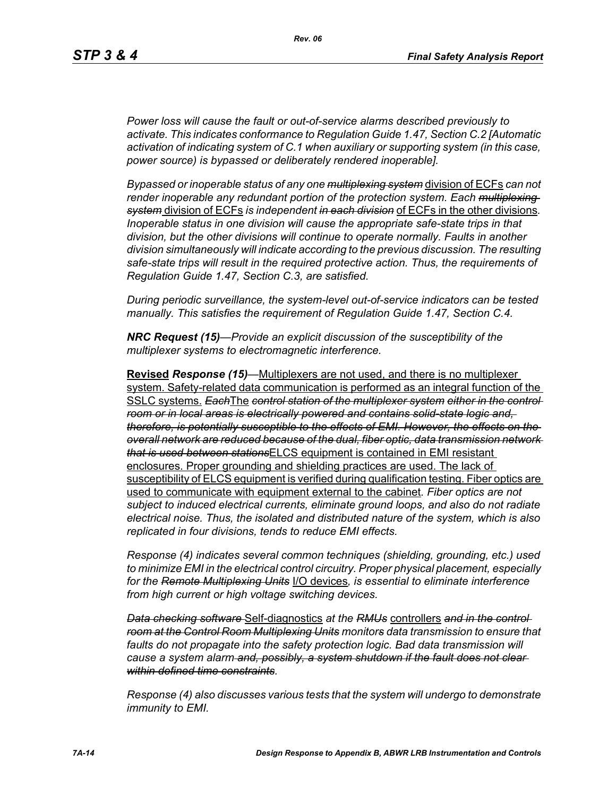*Power loss will cause the fault or out-of-service alarms described previously to activate. This indicates conformance to Regulation Guide 1.47, Section C.2 [Automatic activation of indicating system of C.1 when auxiliary or supporting system (in this case, power source) is bypassed or deliberately rendered inoperable].* 

*Bypassed or inoperable status of any one multiplexing system* division of ECFs *can not render inoperable any redundant portion of the protection system. Each multiplexing system* division of ECFs *is independent in each division* of ECFs in the other divisions*. Inoperable status in one division will cause the appropriate safe-state trips in that division, but the other divisions will continue to operate normally. Faults in another division simultaneously will indicate according to the previous discussion. The resulting safe-state trips will result in the required protective action. Thus, the requirements of Regulation Guide 1.47, Section C.3, are satisfied.* 

*During periodic surveillance, the system-level out-of-service indicators can be tested manually. This satisfies the requirement of Regulation Guide 1.47, Section C.4.* 

*NRC Request (15)—Provide an explicit discussion of the susceptibility of the multiplexer systems to electromagnetic interference.*

**Revised** *Response (15)—*Multiplexers are not used, and there is no multiplexer system. Safety-related data communication is performed as an integral function of the SSLC systems. *Each*The *control station of the multiplexer system either in the control room or in local areas is electrically powered and contains solid-state logic and, therefore, is potentially susceptible to the effects of EMI. However, the effects on the overall network are reduced because of the dual, fiber optic, data transmission network that is used between stations*ELCS equipment is contained in EMI resistant enclosures. Proper grounding and shielding practices are used. The lack of susceptibility of ELCS equipment is verified during qualification testing. Fiber optics are used to communicate with equipment external to the cabinet*. Fiber optics are not subject to induced electrical currents, eliminate ground loops, and also do not radiate electrical noise. Thus, the isolated and distributed nature of the system, which is also replicated in four divisions, tends to reduce EMI effects.* 

*Response (4) indicates several common techniques (shielding, grounding, etc.) used to minimize EMI in the electrical control circuitry. Proper physical placement, especially for the Remote Multiplexing Units* I/O devices*, is essential to eliminate interference from high current or high voltage switching devices.* 

*Data checking software* Self-diagnostics *at the RMUs* controllers *and in the control room at the Control Room Multiplexing Units monitors data transmission to ensure that*  faults do not propagate into the safety protection logic. Bad data transmission will *cause a system alarm and, possibly, a system shutdown if the fault does not clear within defined time constraints.*

*Response (4) also discusses various tests that the system will undergo to demonstrate immunity to EMI.*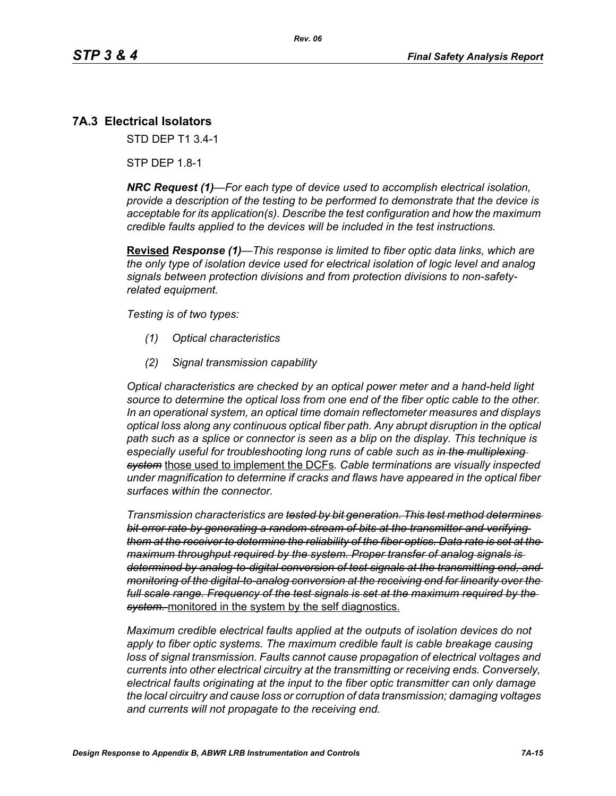# **7A.3 Electrical Isolators**

STD DEP T1 3.4-1

STP DEP 1.8-1

*NRC Request (1)—For each type of device used to accomplish electrical isolation, provide a description of the testing to be performed to demonstrate that the device is acceptable for its application(s). Describe the test configuration and how the maximum credible faults applied to the devices will be included in the test instructions.*

**Revised** *Response (1)—This response is limited to fiber optic data links, which are the only type of isolation device used for electrical isolation of logic level and analog signals between protection divisions and from protection divisions to non-safetyrelated equipment.* 

*Testing is of two types:*

- *(1) Optical characteristics*
- *(2) Signal transmission capability*

*Optical characteristics are checked by an optical power meter and a hand-held light source to determine the optical loss from one end of the fiber optic cable to the other. In an operational system, an optical time domain reflectometer measures and displays optical loss along any continuous optical fiber path. Any abrupt disruption in the optical path such as a splice or connector is seen as a blip on the display. This technique is especially useful for troubleshooting long runs of cable such as in the multiplexing system* those used to implement the DCFs*. Cable terminations are visually inspected under magnification to determine if cracks and flaws have appeared in the optical fiber surfaces within the connector.* 

*Transmission characteristics are tested by bit generation. This test method determines bit error rate by generating a random stream of bits at the transmitter and verifying them at the receiver to determine the reliability of the fiber optics. Data rate is set at the maximum throughput required by the system. Proper transfer of analog signals is determined by analog-to-digital conversion of test signals at the transmitting end, and monitoring of the digital-to-analog conversion at the receiving end for linearity over the full scale range. Frequency of the test signals is set at the maximum required by the system.* monitored in the system by the self diagnostics.

*Maximum credible electrical faults applied at the outputs of isolation devices do not apply to fiber optic systems. The maximum credible fault is cable breakage causing loss of signal transmission. Faults cannot cause propagation of electrical voltages and currents into other electrical circuitry at the transmitting or receiving ends. Conversely, electrical faults originating at the input to the fiber optic transmitter can only damage the local circuitry and cause loss or corruption of data transmission; damaging voltages and currents will not propagate to the receiving end.*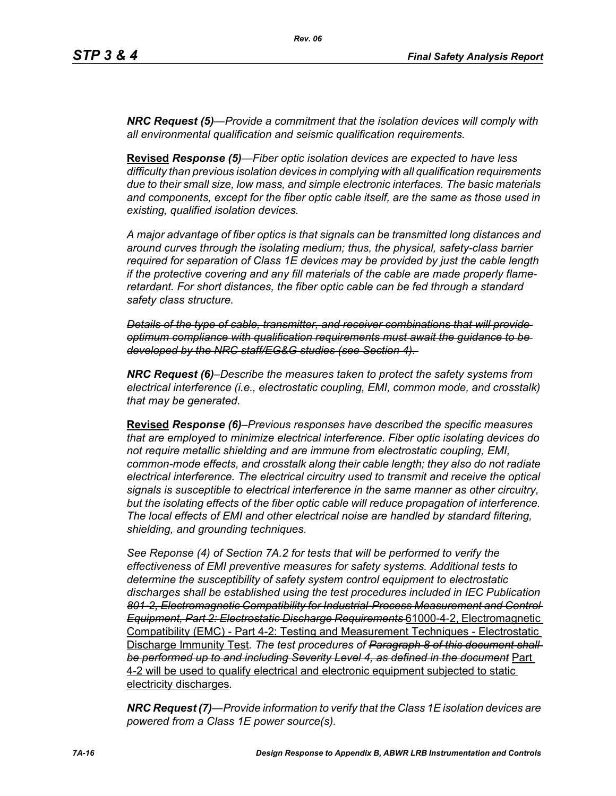*NRC Request (5)—Provide a commitment that the isolation devices will comply with all environmental qualification and seismic qualification requirements.*

**Revised** *Response (5)—Fiber optic isolation devices are expected to have less difficulty than previous isolation devices in complying with all qualification requirements due to their small size, low mass, and simple electronic interfaces. The basic materials and components, except for the fiber optic cable itself, are the same as those used in existing, qualified isolation devices.* 

*A major advantage of fiber optics is that signals can be transmitted long distances and around curves through the isolating medium; thus, the physical, safety-class barrier required for separation of Class 1E devices may be provided by just the cable length if the protective covering and any fill materials of the cable are made properly flameretardant. For short distances, the fiber optic cable can be fed through a standard safety class structure.* 

*Details of the type of cable, transmitter, and receiver combinations that will provide optimum compliance with qualification requirements must await the guidance to be developed by the NRC staff/EG&G studies (see Section 4).* 

*NRC Request (6)–Describe the measures taken to protect the safety systems from electrical interference (i.e., electrostatic coupling, EMI, common mode, and crosstalk) that may be generated.*

**Revised** *Response (6)–Previous responses have described the specific measures that are employed to minimize electrical interference. Fiber optic isolating devices do not require metallic shielding and are immune from electrostatic coupling, EMI, common-mode effects, and crosstalk along their cable length; they also do not radiate electrical interference. The electrical circuitry used to transmit and receive the optical signals is susceptible to electrical interference in the same manner as other circuitry, but the isolating effects of the fiber optic cable will reduce propagation of interference. The local effects of EMI and other electrical noise are handled by standard filtering, shielding, and grounding techniques.*

*See Reponse (4) of Section 7A.2 for tests that will be performed to verify the effectiveness of EMI preventive measures for safety systems. Additional tests to determine the susceptibility of safety system control equipment to electrostatic discharges shall be established using the test procedures included in IEC Publication 801-2, Electromagnetic Compatibility for Industrial-Process Measurement and Control Equipment, Part 2: Electrostatic Discharge Requirements* 61000-4-2, Electromagnetic Compatibility (EMC) - Part 4-2: Testing and Measurement Techniques - Electrostatic Discharge Immunity Test*. The test procedures of Paragraph 8 of this document shall be performed up to and including Severity Level 4, as defined in the document* Part 4-2 will be used to qualify electrical and electronic equipment subjected to static electricity discharges*.*

*NRC Request (7)—Provide information to verify that the Class 1E isolation devices are powered from a Class 1E power source(s).*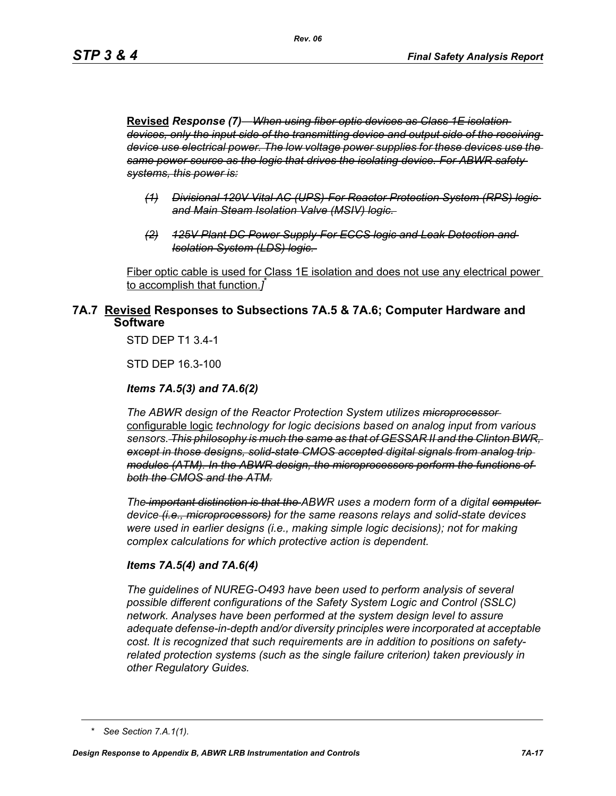**Revised** *Response (7)—When using fiber optic devices as Class 1E isolation devices, only the input side of the transmitting device and output side of the receiving device use electrical power. The low voltage power supplies for these devices use the same power source as the logic that drives the isolating device. For ABWR safety systems, this power is:*

- *(1) Divisional 120V Vital AC (UPS)-For Reactor Protection System (RPS) logic and Main Steam Isolation Valve (MSIV) logic.*
- *(2) 125V Plant DC Power Supply-For ECCS logic and Leak Detection and Isolation System (LDS) logic.*

Fiber optic cable is used for Class 1E isolation and does not use any electrical power to accomplish that function.*]* \*

## **7A.7 Revised Responses to Subsections 7A.5 & 7A.6; Computer Hardware and Software**

STD DEP T1 3.4-1

STD DEP 16.3-100

### *Items 7A.5(3) and 7A.6(2)*

*The ABWR design of the Reactor Protection System utilizes microprocessor*  configurable logic *technology for logic decisions based on analog input from various sensors. This philosophy is much the same as that of GESSAR II and the Clinton BWR, except in those designs, solid-state CMOS accepted digital signals from analog trip modules (ATM). In the ABWR design, the microprocessors perform the functions of both the CMOS and the ATM.*

*The important distinction is that the ABWR uses a modern form of a digital computer device (i.e., microprocessors) for the same reasons relays and solid-state devices were used in earlier designs (i.e., making simple logic decisions); not for making complex calculations for which protective action is dependent.*

### *Items 7A.5(4) and 7A.6(4)*

*The guidelines of NUREG-O493 have been used to perform analysis of several possible different configurations of the Safety System Logic and Control (SSLC) network. Analyses have been performed at the system design level to assure adequate defense-in-depth and/or diversity principles were incorporated at acceptable cost. It is recognized that such requirements are in addition to positions on safetyrelated protection systems (such as the single failure criterion) taken previously in other Regulatory Guides.*

*<sup>\*</sup> See Section 7.A.1(1).*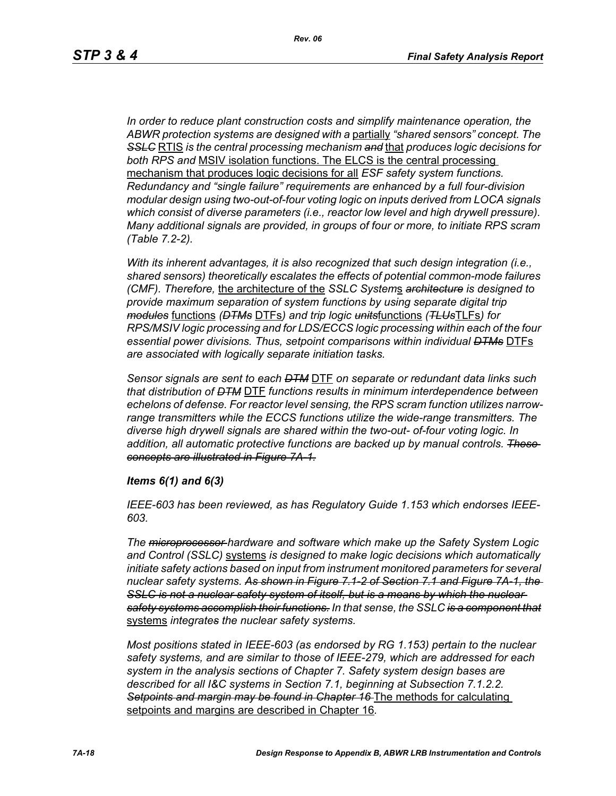*In order to reduce plant construction costs and simplify maintenance operation, the ABWR protection systems are designed with a* partially *"shared sensors" concept. The SSLC* RTIS *is the central processing mechanism and* that *produces logic decisions for both RPS and* MSIV isolation functions. The ELCS is the central processing mechanism that produces logic decisions for all *ESF safety system functions. Redundancy and "single failure" requirements are enhanced by a full four-division modular design using two-out-of-four voting logic on inputs derived from LOCA signals which consist of diverse parameters (i.e., reactor low level and high drywell pressure). Many additional signals are provided, in groups of four or more, to initiate RPS scram (Table 7.2-2).*

*With its inherent advantages, it is also recognized that such design integration (i.e., shared sensors) theoretically escalates the effects of potential common-mode failures (CMF). Therefore,* the architecture of the *SSLC System*s *architecture is designed to provide maximum separation of system functions by using separate digital trip modules* functions *(DTMs* DTFs*) and trip logic units*functions *(TLUs*TLFs*) for RPS/MSIV logic processing and for LDS/ECCS logic processing within each of the four essential power divisions. Thus, setpoint comparisons within individual DTMs* DTFs *are associated with logically separate initiation tasks.* 

*Sensor signals are sent to each DTM* DTF *on separate or redundant data links such that distribution of DTM* DTF *functions results in minimum interdependence between echelons of defense. For reactor level sensing, the RPS scram function utilizes narrowrange transmitters while the ECCS functions utilize the wide-range transmitters. The diverse high drywell signals are shared within the two-out- of-four voting logic. In addition, all automatic protective functions are backed up by manual controls. These concepts are illustrated in Figure 7A-1.*

#### *Items 6(1) and 6(3)*

*IEEE-603 has been reviewed, as has Regulatory Guide 1.153 which endorses IEEE-603.*

*The microprocessor hardware and software which make up the Safety System Logic and Control (SSLC)* systems *is designed to make logic decisions which automatically initiate safety actions based on input from instrument monitored parameters for several nuclear safety systems. As shown in Figure 7.1-2 of Section 7.1 and Figure 7A-1, the*  **SSLC is not a nuclear safety system of itself, but is a means by which the nuclear** *safety systems accomplish their functions. In that sense, the SSLC is a component that* systems *integrates the nuclear safety systems.*

*Most positions stated in IEEE-603 (as endorsed by RG 1.153) pertain to the nuclear safety systems, and are similar to those of IEEE-279, which are addressed for each system in the analysis sections of Chapter 7. Safety system design bases are described for all I&C systems in Section 7.1, beginning at Subsection 7.1.2.2. Setpoints and margin may be found in Chapter 16* The methods for calculating setpoints and margins are described in Chapter 16*.*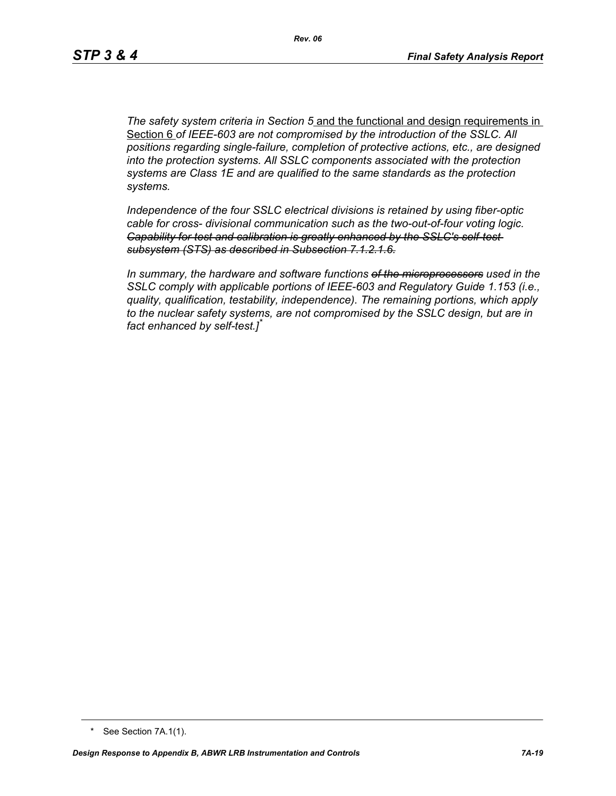*The safety system criteria in Section 5* and the functional and design requirements in Section 6 *of IEEE-603 are not compromised by the introduction of the SSLC. All positions regarding single-failure, completion of protective actions, etc., are designed into the protection systems. All SSLC components associated with the protection systems are Class 1E and are qualified to the same standards as the protection systems.*

*Independence of the four SSLC electrical divisions is retained by using fiber-optic cable for cross- divisional communication such as the two-out-of-four voting logic. Capability for test and calibration is greatly enhanced by the SSLC's self-test subsystem (STS) as described in Subsection 7.1.2.1.6.*

*In summary, the hardware and software functions of the microprocessors used in the SSLC comply with applicable portions of IEEE-603 and Regulatory Guide 1.153 (i.e., quality, qualification, testability, independence). The remaining portions, which apply to the nuclear safety systems, are not compromised by the SSLC design, but are in fact enhanced by self-test.]\**

<sup>\*</sup> See Section 7A.1(1).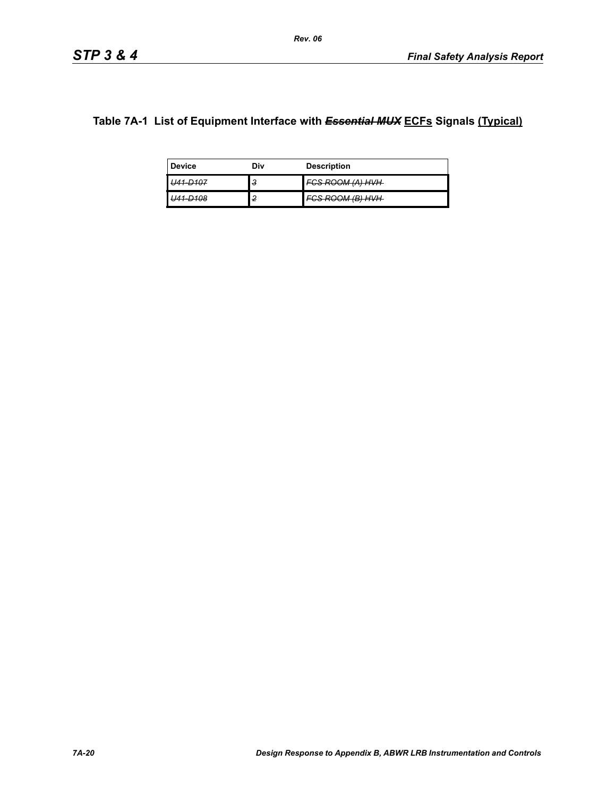# **Table 7A-1 List of Equipment Interface with** *Essential MUX* **ECFs Signals (Typical)**

| <b>Device</b>                     | Div | <b>Description</b>                        |
|-----------------------------------|-----|-------------------------------------------|
| <b>D</b> 107<br><del>וטו פר</del> | з   | <del>FCS ROOM (A) HVH</del>               |
| 1.7109<br>- -                     | 2   | 787 707 1177 J<br><del>vonvommenmen</del> |